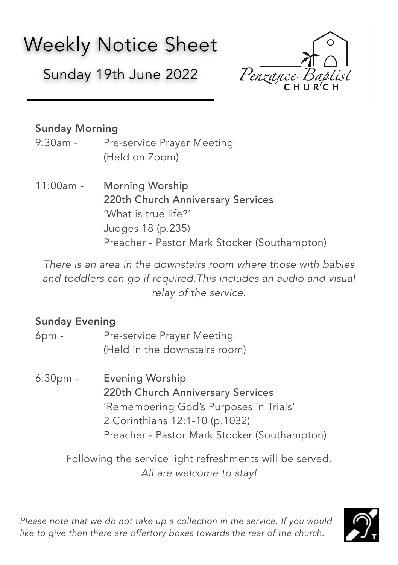# Weekly Notice Sheet

Sunday 19th June 2022



# Sunday Morning

- 9:30am Pre-service Prayer Meeting (Held on Zoom)
- 11:00am Morning Worship 220th Church Anniversary Services 'What is true life?' Judges 18 (p.235) Preacher - Pastor Mark Stocker (Southampton)

*There is an area in the downstairs room where those with babies and toddlers can go if required.This includes an audio and visual relay of the service.* 

## Sunday Evening

- 6pm Pre-service Prayer Meeting (Held in the downstairs room)
- 6:30pm Evening Worship 220th Church Anniversary Services 'Remembering God's Purposes in Trials' 2 Corinthians 12:1-10 (p.1032) Preacher - Pastor Mark Stocker (Southampton)

Following the service light refreshments will be served. *All are welcome to stay!*